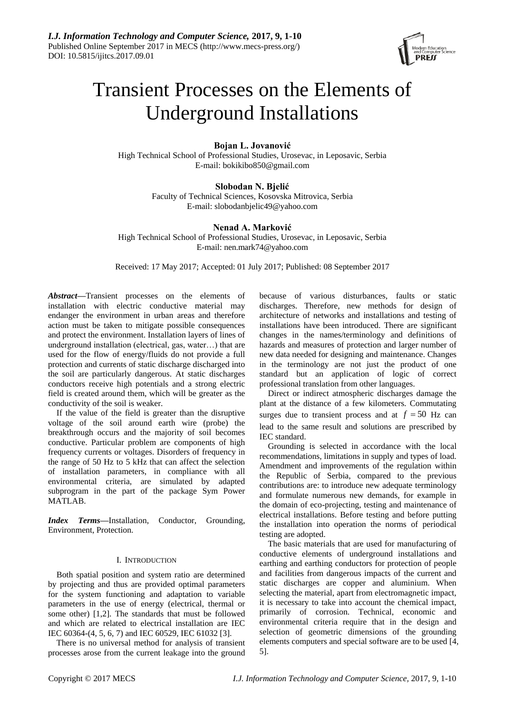

# Transient Processes on the Elements of Underground Installations

# **Bojan L. Jovanović**

High Technical School of Professional Studies, Urosevac, in Leposavic, Serbia E-mail: bokikibo850@gmail.com

# **Slobodan N. Bjelić**

Faculty of Technical Sciences, Kosovska Mitrovica, Serbia E-mail: slobodanbjelic49@yahoo.com

# **Nenad A. Marković**

High Technical School of Professional Studies, Urosevac, in Leposavic, Serbia E-mail: nen.mark74@yahoo.com

Received: 17 May 2017; Accepted: 01 July 2017; Published: 08 September 2017

*Abstract***—**Transient processes on the elements of installation with electric conductive material may endanger the environment in urban areas and therefore action must be taken to mitigate possible consequences and protect the environment. Installation layers of lines of underground installation (electrical, gas, water…) that are used for the flow of energy/fluids do not provide a full protection and currents of static discharge discharged into the soil are particularly dangerous. At static discharges conductors receive high potentials and a strong electric field is created around them, which will be greater as the conductivity of the soil is weaker.

If the value of the field is greater than the disruptive voltage of the soil around earth wire (probe) the breakthrough occurs and the majority of soil becomes conductive. Particular problem are components of high frequency currents or voltages. Disorders of frequency in the range of 50 Hz to 5 kHz that can affect the selection of installation parameters, in compliance with all environmental criteria, are simulated by adapted subprogram in the part of the package Sym Power MATLAB.

*Index Terms***—**Installation, Conductor, Grounding, Environment, Protection.

## I. INTRODUCTION

Both spatial position and system ratio are determined by projecting and thus are provided optimal parameters for the system functioning and adaptation to variable parameters in the use of energy (electrical, thermal or some other) [1,2]. The standards that must be followed and which are related to electrical installation are IEC IEC 60364-(4, 5, 6, 7) and IEC 60529, IEC 61032 [3].

There is no universal method for analysis of transient processes arose from the current leakage into the ground because of various disturbances, faults or static discharges. Therefore, new methods for design of architecture of networks and installations and testing of installations have been introduced. There are significant changes in the names/terminology and definitions of hazards and measures of protection and larger number of new data needed for designing and maintenance. Changes in the terminology are not just the product of one standard but an application of logic of correct professional translation from other languages.

Direct or indirect atmospheric discharges damage the plant at the distance of a few kilometers. Commutating surges due to transient process and at  $f = 50$  Hz can lead to the same result and solutions are prescribed by IEC standard.

Grounding is selected in accordance with the local recommendations, limitations in supply and types of load. Amendment and improvements of the regulation within the Republic of Serbia, compared to the previous contributions are: to introduce new adequate terminology and formulate numerous new demands, for example in the domain of eco-projecting, testing and maintenance of electrical installations. Before testing and before putting the installation into operation the norms of periodical testing are adopted.

The basic materials that are used for manufacturing of conductive elements of underground installations and earthing and earthing conductors for protection of people and facilities from dangerous impacts of the current and static discharges are copper and aluminium. When selecting the material, apart from electromagnetic impact, it is necessary to take into account the chemical impact, primarily of corrosion. Technical, economic and environmental criteria require that in the design and selection of geometric dimensions of the grounding elements computers and special software are to be used [4, 5].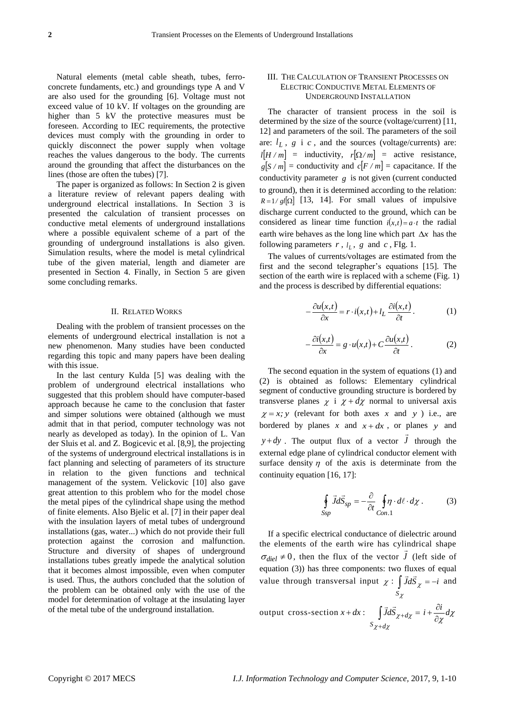Natural elements (metal cable sheath, tubes, ferroconcrete fundaments, etc.) and groundings type A and V are also used for the grounding [6]. Voltage must not exceed value of 10 kV. If voltages on the grounding are higher than 5 kV the protective measures must be foreseen. According to IEC requirements, the protective devices must comply with the grounding in order to quickly disconnect the power supply when voltage reaches the values dangerous to the body. The currents around the grounding that affect the disturbances on the lines (those are often the tubes) [7].

The paper is organized as follows: In Section 2 is given a literature review of relevant papers dealing with underground electrical installations. In Section 3 is presented the calculation of transient processes on conductive metal elements of underground installations where a possible equivalent scheme of a part of the grounding of underground installations is also given. Simulation results, where the model is metal cylindrical tube of the given material, length and diameter are presented in Section 4. Finally, in Section 5 are given some concluding remarks.

#### II. RELATED WORKS

Dealing with the problem of transient processes on the elements of underground electrical installation is not a new phenomenon. Many studies have been conducted regarding this topic and many papers have been dealing with this issue.

In the last century Kulda [5] was dealing with the problem of underground electrical installations who suggested that this problem should have computer-based approach because he came to the conclusion that faster and simper solutions were obtained (although we must admit that in that period, computer technology was not nearly as developed as today). In the opinion of L. Van der Sluis et al. and Z. Bogicevic et al. [8,9], the projecting of the systems of underground electrical installations is in fact planning and selecting of parameters of its structure in relation to the given functions and technical management of the system. Velickovic [10] also gave great attention to this problem who for the model chose the metal pipes of the cylindrical shape using the method of finite elements. Also Bjelic et al. [7] in their paper deal with the insulation layers of metal tubes of underground installations (gas, water...) which do not provide their full protection against the corrosion and malfunction. Structure and diversity of shapes of underground installations tubes greatly impede the analytical solution that it becomes almost impossible, even when computer is used. Thus, the authors concluded that the solution of the problem can be obtained only with the use of the model for determination of voltage at the insulating layer of the metal tube of the underground installation.

## III. THE CALCULATION OF TRANSIENT PROCESSES ON ELECTRIC CONDUCTIVE METAL ELEMENTS OF UNDERGROUND INSTALLATION

The character of transient process in the soil is determined by the size of the source (voltage/current) [11, 12] and parameters of the soil. The parameters of the soil are:  $l_L$ ,  $g$  i  $c$ , and the sources (voltage/currents) are:  $l|H/m|$  = inductivity,  $r|\Omega/m|$  = active resistance,  $g[S/m]$  = conductivity and  $c[F/m]$  = capacitance. If the conductivity parameter  $g$  is not given (current conducted to ground), then it is determined according to the relation:  $R = 1/gl[\Omega]$  [13, 14]. For small values of impulsive discharge current conducted to the ground, which can be considered as linear time function  $i(x,t) = a \cdot t$  the radial earth wire behaves as the long line which part  $\Delta x$  has the following parameters  $r$ ,  $l_L$ ,  $g$  and  $c$ , FIg. 1.

The values of currents/voltages are estimated from the first and the second telegrapher's equations [15]. The section of the earth wire is replaced with a scheme (Fig. 1) and the process is described by differential equations:

$$
-\frac{\partial u(x,t)}{\partial x} = r \cdot i(x,t) + l_L \frac{\partial i(x,t)}{\partial t}.
$$
 (1)

$$
-\frac{\partial i(x,t)}{\partial x} = g \cdot u(x,t) + C \frac{\partial u(x,t)}{\partial t}.
$$
 (2)

The second equation in the system of equations (1) and (2) is obtained as follows: Elementary cylindrical segment of conductive grounding structure is bordered by transverse planes  $\chi$  i  $\chi + d\chi$  normal to universal axis  $\chi = x$ ; *y* (relevant for both axes *x* and *y* ) i.e., are bordered by planes x and  $x + dx$ , or planes y and  $y + dy$ . The output flux of a vector *J*  $\frac{1}{x}$ through the external edge plane of cylindrical conductor element with surface density  $\eta$  of the axis is determinate from the continuity equation [16, 17]:

$$
\oint_{Ssp} \vec{J}d\vec{S}_{sp} = -\frac{\partial}{\partial t} \oint_{Con.1} \eta \cdot d\ell \cdot d\chi . \tag{3}
$$

If a specific electrical conductance of dielectric around the elements of the earth wire has cylindrical shape  $\sigma_{diel} \neq 0$ , then the flux of the vector  $\dot{J}$  (left side of equation (3)) has three components: two fluxes of equal value through transversal input  $\chi : \int dS_x = -i$  $\int_{S_{\gamma}} \vec{J} d\vec{S}_{\chi} =$ χ χ  $\frac{11}{4}$ and

output cross-section  $x + dx$ :  $\int J dS_{\chi + d\chi} = i + \frac{\partial f}{\partial \chi} d\chi$  $\overrightarrow{JdS}_{\chi+d\chi} = i + \frac{\partial i}{\partial \psi}d$  $S_{\chi+d}$  $d\chi = l + \frac{1}{\hat{c}}$  $\int \vec{J}d\vec{S}_{\chi+d\chi} = i + \frac{\hat{c}}{\partial}$  $^{+}$  $^{+}$  $\overline{a}$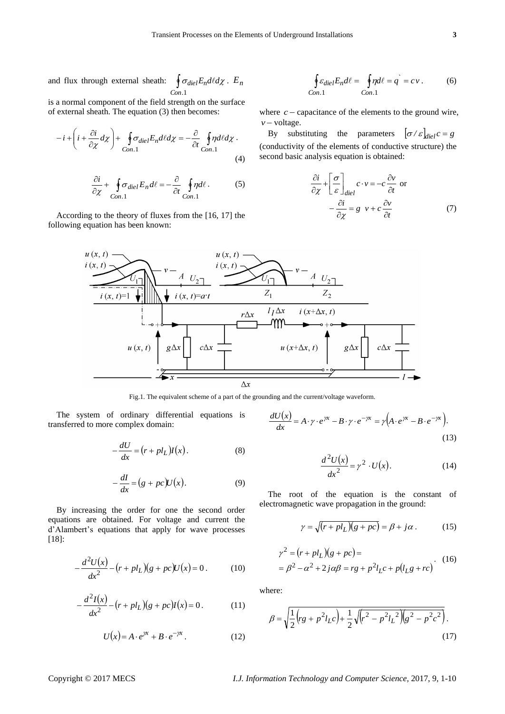and flux through external sheath:  $\oint \sigma_{diel} E_n d\ell d\chi$ *Con.*  $\oint \sigma_{diel} E_n d\ell$ 1 . *E<sup>n</sup>*

is a normal component of the field strength on the surface of external sheath. The equation (3) then becomes:

$$
-i + \left(i + \frac{\partial i}{\partial \chi} d\chi\right) + \oint_{Con.1} \sigma_{diel} E_n dl d\chi = -\frac{\partial}{\partial t} \oint_{Con.1} \eta dl d\chi \,.
$$

$$
\frac{\partial i}{\partial \chi} + \oint_{Con.1} \sigma_{diel} E_n d\ell = -\frac{\partial}{\partial t} \oint_{Con.1} \eta d\ell.
$$
 (5)

According to the theory of fluxes from the [16, 17] the following equation has been known:

$$
\oint \mathcal{E}_{diel} E_n d\ell = \oint \eta d\ell = \dot{q} = c \nu. \tag{6}
$$
  
Con.1

where  $c$  – capacitance of the elements to the ground wire,  $v$  – voltage.

By substituting the parameters  $\left[\sigma/\varepsilon\right]_{diel}c = g$ (conductivity of the elements of conductive structure) the second basic analysis equation is obtained:

 $\hat{o}$ 

$$
\frac{\partial i}{\partial \chi} + \left[\frac{\sigma}{\varepsilon}\right]_{diel} c \cdot v = -c \frac{\partial v}{\partial t} \text{ or}
$$

$$
-\frac{\partial i}{\partial \chi} = g \ v + c \frac{\partial v}{\partial t} \tag{7}
$$



Fig.1. The equivalent scheme of a part of the grounding and the current/voltage waveform.

The system of ordinary differential equations is transferred to more complex domain:

$$
-\frac{dU}{dx} = (r + pl_L)I(x).
$$
 (8)

$$
-\frac{dI}{dx} = (g + pc)U(x). \tag{9}
$$

By increasing the order for one the second order equations are obtained. For voltage and current the d'Alambert's equations that apply for wave processes [18]:

$$
-\frac{d^2U(x)}{dx^2} - (r + pl_L)(g + pc)U(x) = 0.
$$
 (10)

$$
-\frac{d^2I(x)}{dx^2} - (r + pl_L)(g + pc)I(x) = 0.
$$
 (11)

$$
U(x) = A \cdot e^{\gamma x} + B \cdot e^{-\gamma x} \,. \tag{12}
$$

$$
\frac{dU(x)}{dx} = A \cdot \gamma \cdot e^{\gamma x} - B \cdot \gamma \cdot e^{-\gamma x} = \gamma \Big( A \cdot e^{\gamma x} - B \cdot e^{-\gamma x} \Big). \tag{13}
$$

$$
\frac{d^2U(x)}{dx^2} = \gamma^2 \cdot U(x). \tag{14}
$$

The root of the equation is the constant of electromagnetic wave propagation in the ground:

$$
\gamma = \sqrt{(r + pl_L)(g + pc)} = \beta + j\alpha. \tag{15}
$$

$$
\gamma^{2} = (r + pl_{L})(g + pc) =
$$
  
=  $\beta^{2} - \alpha^{2} + 2j\alpha\beta = rg + p^{2}l_{L}c + p(l_{L}g + rc)$  (16)

where:

$$
\beta = \sqrt{\frac{1}{2}(rg + p^2 l_L c) + \frac{1}{2}\sqrt{(r^2 - p^2 l_L^2)(g^2 - p^2 c^2)}}.
$$
\n(17)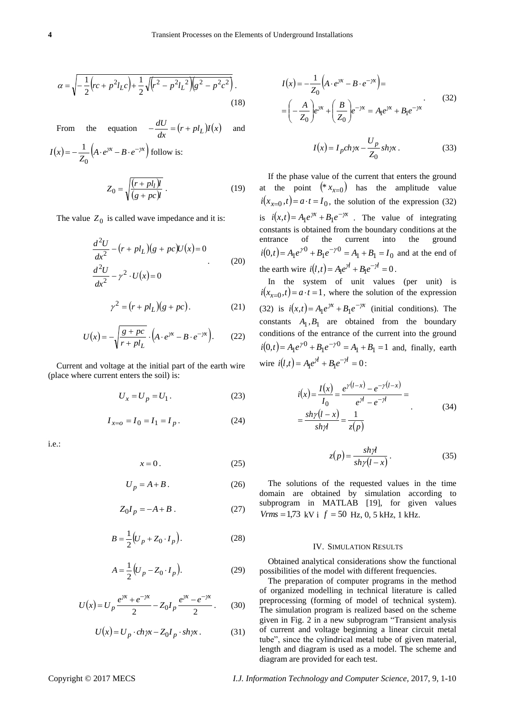$$
\alpha = \sqrt{-\frac{1}{2}(rc + p^2 l_L c) + \frac{1}{2}\sqrt{(r^2 - p^2 l_L^2)(g^2 - p^2 c^2)}}.
$$
\n(18)

From the equation  $-\frac{dv}{dx} = (r + pl_L)I(x)$  $-\frac{dU}{dr} = (r + pl_L)$ and

$$
I(x) = -\frac{1}{Z_0} \left( A \cdot e^{\gamma x} - B \cdot e^{-\gamma x} \right)
$$
 follow is:  

$$
Z_0 = \sqrt{\frac{(r + pl_l)l}{(g + pc)l}}.
$$
 (19)

The value  $Z_0$  is called wave impedance and it is:

$$
\frac{d^2U}{dx^2} - (r + pl_L)(g + pc)U(x) = 0
$$
\n(20)  
\n
$$
\frac{d^2U}{dx^2} - \gamma^2 \cdot U(x) = 0
$$
\n(21)

$$
\gamma^2 = (r + pl_L)(g + pc). \tag{21}
$$

$$
U(x) = -\sqrt{\frac{g + pc}{r + pl_L}} \cdot \left( A \cdot e^{\gamma x} - B \cdot e^{-\gamma x} \right). \tag{22}
$$

Current and voltage at the initial part of the earth wire (place where current enters the soil) is:

$$
U_x = U_p = U_1. \tag{23}
$$

$$
I_{x=o} = I_0 = I_1 = I_p.
$$
 (24)

i.e.:

$$
x = 0. \tag{25}
$$

$$
U_p = A + B. \tag{26}
$$

$$
Z_0 I_p = -A + B \tag{27}
$$

$$
B = \frac{1}{2} (U_p + Z_0 \cdot I_p).
$$
 (28)

$$
A = \frac{1}{2} \left( U_p - Z_0 \cdot I_p \right). \tag{29}
$$

$$
U(x) = U_p \frac{e^{jx} + e^{-jx}}{2} - Z_0 I_p \frac{e^{jx} - e^{-jx}}{2}.
$$
 (30)

$$
U(x) = U_p \cdot ch\gamma x - Z_0 I_p \cdot sh\gamma x. \tag{31}
$$

$$
I(x) = -\frac{1}{Z_0} \left( A \cdot e^{\gamma x} - B \cdot e^{-\gamma x} \right) =
$$
  
=  $\left( -\frac{A}{Z_0} \right) e^{\gamma x} + \left( \frac{B}{Z_0} \right) e^{-\gamma x} = A_1 e^{\gamma x} + B_1 e^{-\gamma x}$  (32)

$$
I(x) = I_p ch\gamma x - \frac{U_p}{Z_0} sh\gamma x.
$$
 (33)

Copyright P<sup>2</sup>( $x^2 + y^2(x^2 + y^2(x^2 + y^2(x^2 + y^2(x^2 + y^2(x^2 + y^2(x^2 + y^2(x^2 + y^2(x^2 + y^2(x^2 + y^2(x^2 + y^2(x^2 + y^2(x^2 + y^2(x^2 + y^2(x^2 + y^2(x^2 + y^2(x^2 + y^2(x^2 + y^2(x^2 + y^2(x^2 + y^2(x^2 + y^2(x^2 + y^2(x^2 + y^2(x^2 + y^2(x^2 + y^2(x^2 + y^2(x^2 + y^2(x^2 + y^2(x^2 + y^2(x^$ If the phase value of the current that enters the ground at the point  $(*x_{x=0})$  has the amplitude value  $i(x_{x=0}, t) = a \cdot t = I_0$ , the solution of the expression (32) is  $i(x,t) = A_1 e^{\gamma x} + B_1 e^{-\gamma x}$ . The value of integrating constants is obtained from the boundary conditions at the entrance of the current into the ground  $i(0,t) = A_1 e^{\gamma 0} + B_1 e^{-\gamma 0} = A_1 + B_1 = I_0$  and at the end of the earth wire  $i(l, t) = A_1 e^{\gamma t} + B_1 e^{-\gamma t} = 0$ .

In the system of unit values (per unit) is  $i(x_{x=0}, t) = a \cdot t = 1$ , where the solution of the expression (32) is  $i(x,t) = A_1 e^{\lambda x} + B_1 e^{-\lambda x}$  (initial conditions). The constants  $A_1, B_1$  are obtained from the boundary conditions of the entrance of the current into the ground  $i(0,t) = A_1 e^{\gamma 0} + B_1 e^{-\gamma 0} = A_1 + B_1 = 1$  and, finally, earth wire  $i(l,t) = A_1 e^{\gamma t} + B_1 e^{-\gamma t} = 0$ :

$$
i(x) = \frac{I(x)}{I_0} = \frac{e^{\gamma(l-x)} - e^{-\gamma(l-x)}}{e^{\gamma l} - e^{-\gamma l}} =
$$
  
= 
$$
\frac{sh\gamma(l-x)}{sh\gamma l} = \frac{1}{z(p)}
$$
 (34)

$$
z(p) = \frac{sh\gamma l}{sh\gamma(l-x)}.
$$
\n(35)

The solutions of the requested values in the time domain are obtained by simulation according to subprogram in MATLAB [19], for given values  $Vrms = 1.73$  kV i  $f = 50$  Hz, 0, 5 kHz, 1 kHz.

#### IV. SIMULATION RESULTS

Obtained analytical considerations show the functional possibilities of the model with different frequencies.

The preparation of computer programs in the method of organized modelling in technical literature is called preprocessing (forming of model of technical system). The simulation program is realized based on the scheme given in Fig. 2 in a new subprogram "Transient analysis of current and voltage beginning a linear circuit metal tube", since the cylindrical metal tube of given material, length and diagram is used as a model. The scheme and diagram are provided for each test.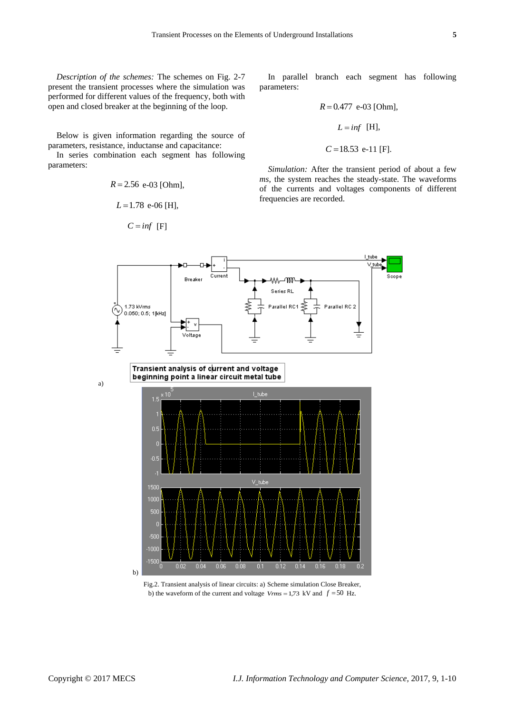*Description of the schemes:* The schemes on Fig. 2-7 present the transient processes where the simulation was performed for different values of the frequency, both with open and closed breaker at the beginning of the loop.

Below is given information regarding the source of parameters, resistance, inductanse and capacitance:

In series combination each segment has following parameters:

## $R = 2.56$  e-03 [Ohm],

$$
L=1.78
$$
 e-06 [H],

$$
C = \inf \ [F]
$$

In parallel branch each segment has following parameters:

$$
R = 0.477
$$
 e-03 [Ohm],  
 $L = inf$  [H],  
 $C = 18.53$  e-11 [F].

*Simulation:* After the transient period of about a few *ms*, the system reaches the steady-state. The waveforms of the currents and voltages components of different frequencies are recorded.



Fig.2. Transient analysis of linear circuits: a) Scheme simulation Close Breaker, b) the waveform of the current and voltage  $V$ *rms* = 1,73 kV and  $f = 50$  Hz.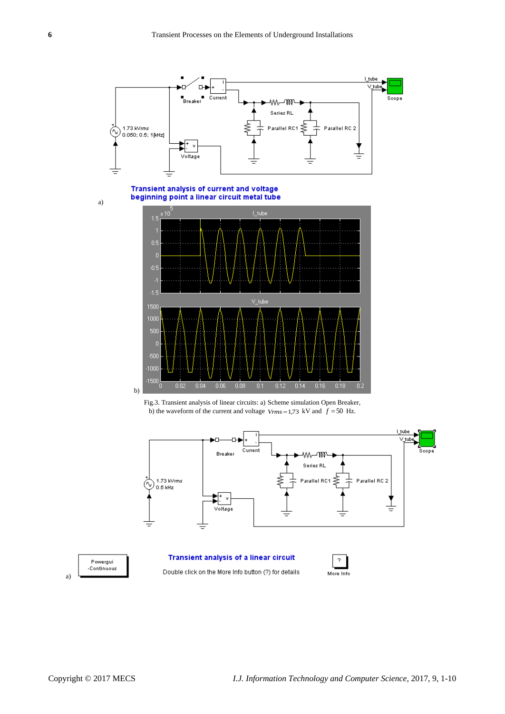

Fig.3. Transient analysis of linear circuits: a) Scheme simulation Open Breaker, b) the waveform of the current and voltage  $V$ *rms* = 1,73 kV and  $f = 50$  Hz.



a)

a)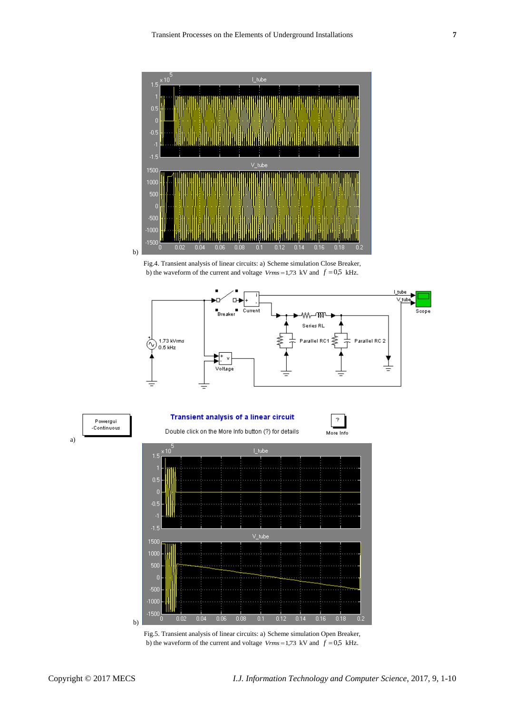

Fig.4. Transient analysis of linear circuits: a) Scheme simulation Close Breaker, b) the waveform of the current and voltage  $V_{rms} = 1.73 \text{ kV}$  and  $f = 0.5 \text{ kHz}$ .





Fig.5. Transient analysis of linear circuits: a) Scheme simulation Open Breaker, b) the waveform of the current and voltage  $V$ *rms* = 1,73 kV and  $f = 0.5$  kHz.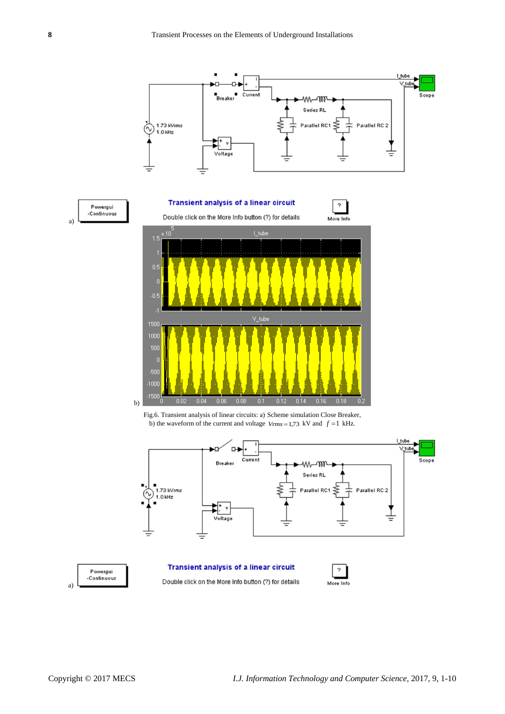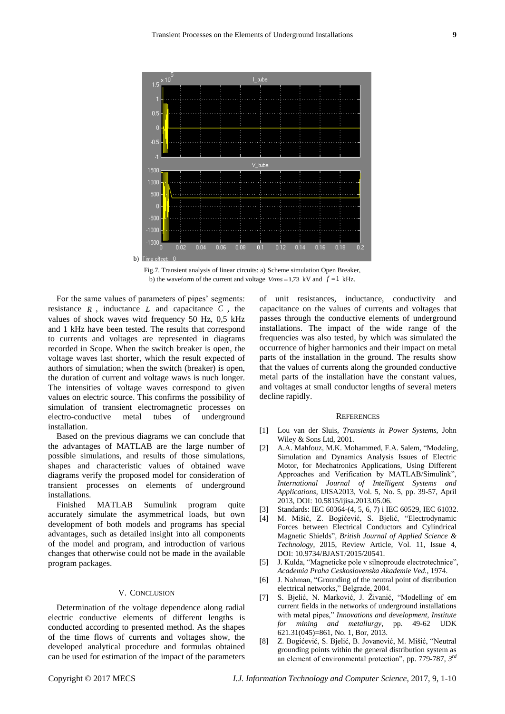

Fig.7. Transient analysis of linear circuits: a) Scheme simulation Open Breaker, b) the waveform of the current and voltage  $V_{rms} = 1.73 \text{ kV}$  and  $f = 1 \text{ kHz}$ .

For the same values of parameters of pipes' segments: resistance  $R$ , inductance  $L$  and capacitance  $C$ , the values of shock waves witd frequency 50 Hz, 0,5 kHz and 1 kHz have been tested. The results that correspond to currents and voltages are represented in diagrams recorded in Scope. When the switch breaker is open, the voltage waves last shorter, which the result expected of authors of simulation; when the switch (breaker) is open, the duration of current and voltage waws is nuch longer. The intensities of voltage waves correspond to given values on electric source. This confirms the possibility of simulation of transient electromagnetic processes on electro-conductive metal tubes of underground installation.

Based on the previous diagrams we can conclude that the advantages of MATLAB are the large number of possible simulations, and results of those simulations, shapes and characteristic values of obtained wave diagrams verify the proposed model for consideration of transient processes on elements of underground installations.

Finished MATLAB Sumulink program quite accurately simulate the asymmetrical loads, but own development of both models and programs has special advantages, such as detailed insight into all components of the model and program, and introduction of various changes that otherwise could not be made in the available program packages.

## V. CONCLUSION

Determination of the voltage dependence along radial electric conductive elements of different lengths is conducted according to presented method. As the shapes of the time flows of currents and voltages show, the developed analytical procedure and formulas obtained can be used for estimation of the impact of the parameters of unit resistances, inductance, conductivity and capacitance on the values of currents and voltages that passes through the conductive elements of underground installations. The impact of the wide range of the frequencies was also tested, by which was simulated the occurrence of higher harmonics and their impact on metal parts of the installation in the ground. The results show that the values of currents along the grounded conductive metal parts of the installation have the constant values, and voltages at small conductor lengths of several meters decline rapidly.

#### **REFERENCES**

- [1] Lou van der Sluis, *Transients in Power Systems*, John Wiley & Sons Ltd, 2001.
- [2] A.A. Mahfouz, M.K. Mohammed, F.A. Salem, "Modeling, Simulation and Dynamics Analysis Issues of Electric Motor, for Mechatronics Applications, Using Different Approaches and Verification by MATLAB/Simulink", *International Journal of Intelligent Systems and Applications*, IJISA2013, Vol. 5, No. 5, pp. 39-57, April 2013, DOI: 10.5815/ijisa.2013.05.06.
- [3] Standards: IEC 60364-(4, 5, 6, 7) i IEC 60529, IEC 61032.
- [4] M. Mišić, Z. Bogićević, S. Bjelić, "Electrodynamic Forces between Electrical Conductors and Cylindrical Magnetic Shields", *British Journal of Applied Science & Technology*, 2015, Review Article, Vol. 11, Issue 4, DOI: [10.9734/BJAST/2015/20541.](https://doi.org/10.9734/BJAST/2015/20541)
- [5] J. Kulda, "Magneticke pole v silnoproude electrotechnice", *Academia Praha Ceskoslovenska Akademie Ved.*, 1974.
- [6] J. Nahman, "Grounding of the neutral point of distribution electrical networks," Belgrade, 2004.
- [7] S. Bjelić, N. Marković, J. Živanić, "Modelling of em current fields in the networks of underground installations with metal pipes," *Innovations and development, Institute for mining and metallurgy*, pp. 49-62 UDK 621.31(045)=861, No. 1, Bor, 2013.
- [8] Z. Bogićević, S. Bjelić, B. Jovanović, M. Mišić, "Neutral grounding points within the general distribution system as an element of environmental protection", pp. 779-787, *3 rd*